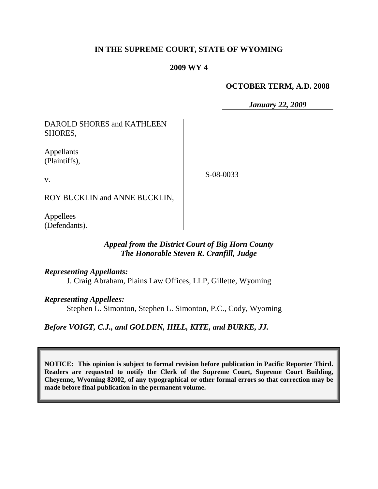## **IN THE SUPREME COURT, STATE OF WYOMING**

#### **2009 WY 4**

#### **OCTOBER TERM, A.D. 2008**

*January 22, 2009*

DAROLD SHORES and KATHLEEN SHORES,

Appellants (Plaintiffs),

v.

S-08-0033

ROY BUCKLIN and ANNE BUCKLIN,

Appellees (Defendants).

# *Appeal from the District Court of Big Horn County The Honorable Steven R. Cranfill, Judge*

*Representing Appellants:*

J. Craig Abraham, Plains Law Offices, LLP, Gillette, Wyoming

*Representing Appellees:*

Stephen L. Simonton, Stephen L. Simonton, P.C., Cody, Wyoming

*Before VOIGT, C.J., and GOLDEN, HILL, KITE, and BURKE, JJ.*

**NOTICE: This opinion is subject to formal revision before publication in Pacific Reporter Third. Readers are requested to notify the Clerk of the Supreme Court, Supreme Court Building, Cheyenne, Wyoming 82002, of any typographical or other formal errors so that correction may be made before final publication in the permanent volume.**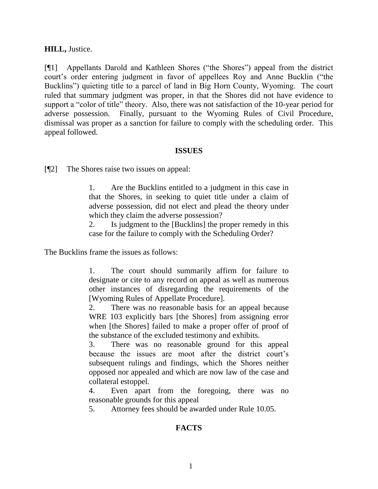#### **HILL,** Justice.

[¶1] Appellants Darold and Kathleen Shores ("the Shores") appeal from the district court's order entering judgment in favor of appellees Roy and Anne Bucklin ("the Bucklins") quieting title to a parcel of land in Big Horn County, Wyoming. The court ruled that summary judgment was proper, in that the Shores did not have evidence to support a "color of title" theory. Also, there was not satisfaction of the 10-year period for adverse possession. Finally, pursuant to the Wyoming Rules of Civil Procedure, dismissal was proper as a sanction for failure to comply with the scheduling order. This appeal followed.

#### **ISSUES**

[¶2] The Shores raise two issues on appeal:

1. Are the Bucklins entitled to a judgment in this case in that the Shores, in seeking to quiet title under a claim of adverse possession, did not elect and plead the theory under which they claim the adverse possession?

2. Is judgment to the [Bucklins] the proper remedy in this case for the failure to comply with the Scheduling Order?

The Bucklins frame the issues as follows:

1. The court should summarily affirm for failure to designate or cite to any record on appeal as well as numerous other instances of disregarding the requirements of the [Wyoming Rules of Appellate Procedure].

2. There was no reasonable basis for an appeal because WRE 103 explicitly bars [the Shores] from assigning error when [the Shores] failed to make a proper offer of proof of the substance of the excluded testimony and exhibits.

3. There was no reasonable ground for this appeal because the issues are moot after the district court's subsequent rulings and findings, which the Shores neither opposed nor appealed and which are now law of the case and collateral estoppel.

4. Even apart from the foregoing, there was no reasonable grounds for this appeal

5. Attorney fees should be awarded under Rule 10.05.

# **FACTS**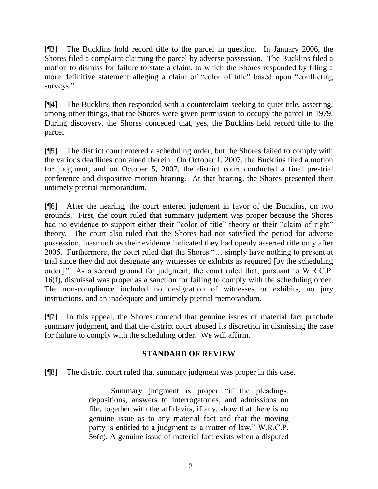[¶3] The Bucklins hold record title to the parcel in question. In January 2006, the Shores filed a complaint claiming the parcel by adverse possession. The Bucklins filed a motion to dismiss for failure to state a claim, to which the Shores responded by filing a more definitive statement alleging a claim of "color of title" based upon "conflicting surveys."

[¶4] The Bucklins then responded with a counterclaim seeking to quiet title, asserting, among other things, that the Shores were given permission to occupy the parcel in 1979. During discovery, the Shores conceded that, yes, the Bucklins held record title to the parcel.

[¶5] The district court entered a scheduling order, but the Shores failed to comply with the various deadlines contained therein. On October 1, 2007, the Bucklins filed a motion for judgment, and on October 5, 2007, the district court conducted a final pre-trial conference and dispositive motion hearing. At that hearing, the Shores presented their untimely pretrial memorandum.

[¶6] After the hearing, the court entered judgment in favor of the Bucklins, on two grounds. First, the court ruled that summary judgment was proper because the Shores had no evidence to support either their "color of title" theory or their "claim of right" theory. The court also ruled that the Shores had not satisfied the period for adverse possession, inasmuch as their evidence indicated they had openly asserted title only after 2005. Furthermore, the court ruled that the Shores "… simply have nothing to present at trial since they did not designate any witnesses or exhibits as required [by the scheduling order]." As a second ground for judgment, the court ruled that, pursuant to W.R.C.P. 16(f), dismissal was proper as a sanction for failing to comply with the scheduling order. The non-compliance included no designation of witnesses or exhibits, no jury instructions, and an inadequate and untimely pretrial memorandum.

[¶7] In this appeal, the Shores contend that genuine issues of material fact preclude summary judgment, and that the district court abused its discretion in dismissing the case for failure to comply with the scheduling order. We will affirm.

# **STANDARD OF REVIEW**

[¶8] The district court ruled that summary judgment was proper in this case.

Summary judgment is proper "if the pleadings, depositions, answers to interrogatories, and admissions on file, together with the affidavits, if any, show that there is no genuine issue as to any material fact and that the moving party is entitled to a judgment as a matter of law." W.R.C.P. 56(c). A genuine issue of material fact exists when a disputed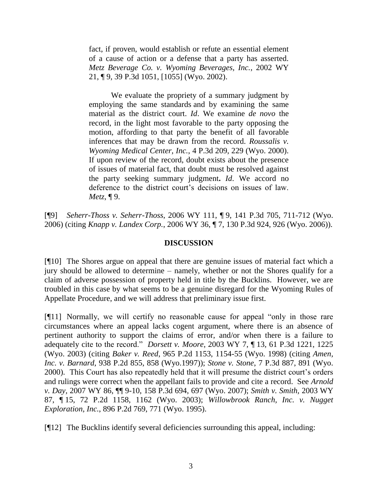fact, if proven, would establish or refute an essential element of a cause of action or a defense that a party has asserted. *Metz Beverage Co. v. Wyoming Beverages, Inc.*, 2002 WY 21, ¶ 9, 39 P.3d 1051, [1055] (Wyo. 2002).

We evaluate the propriety of a summary judgment by employing the same standards and by examining the same material as the district court. *Id*. We examine *de novo* the record, in the light most favorable to the party opposing the motion, affording to that party the benefit of all favorable inferences that may be drawn from the record. *Roussalis v. Wyoming Medical Center, Inc.*, 4 P.3d 209, 229 (Wyo. 2000). If upon review of the record, doubt exists about the presence of issues of material fact, that doubt must be resolved against the party seeking summary judgment**.** *Id*. We accord no deference to the district court's decisions on issues of law. *Metz*, ¶ 9.

[¶9] *Seherr-Thoss v. Seherr-Thoss*, 2006 WY 111, ¶ 9, 141 P.3d 705, 711-712 (Wyo. 2006) (citing *Knapp v. Landex Corp.*, 2006 WY 36, ¶ 7, 130 P.3d 924, 926 (Wyo. 2006)).

## **DISCUSSION**

[¶10] The Shores argue on appeal that there are genuine issues of material fact which a jury should be allowed to determine – namely, whether or not the Shores qualify for a claim of adverse possession of property held in title by the Bucklins. However, we are troubled in this case by what seems to be a genuine disregard for the Wyoming Rules of Appellate Procedure, and we will address that preliminary issue first.

[¶11] Normally, we will certify no reasonable cause for appeal "only in those rare circumstances where an appeal lacks cogent argument, where there is an absence of pertinent authority to support the claims of error, and/or when there is a failure to adequately cite to the record." *Dorsett v. Moore*, 2003 WY 7, ¶ 13, 61 P.3d 1221, 1225 (Wyo. 2003) (citing *Baker v. Reed*, 965 P.2d 1153, 1154-55 (Wyo. 1998) (citing *Amen, Inc. v. Barnard*, 938 P.2d 855, 858 (Wyo.1997)); *Stone v. Stone*, 7 P.3d 887, 891 (Wyo. 2000). This Court has also repeatedly held that it will presume the district court's orders and rulings were correct when the appellant fails to provide and cite a record. See *Arnold v. Day,* 2007 WY 86, ¶¶ 9-10, 158 P.3d 694, 697 (Wyo. 2007); *Smith v. Smith,* 2003 WY 87, ¶ 15, 72 P.2d 1158, 1162 (Wyo. 2003); *Willowbrook Ranch, Inc. v. Nugget Exploration, Inc.*, 896 P.2d 769, 771 (Wyo. 1995).

[¶12] The Bucklins identify several deficiencies surrounding this appeal, including: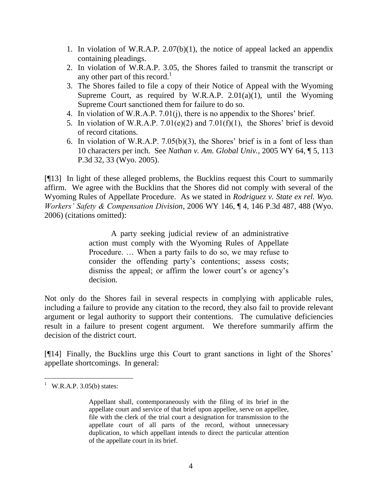- 1. In violation of W.R.A.P. 2.07(b)(1), the notice of appeal lacked an appendix containing pleadings.
- 2. In violation of W.R.A.P. 3.05, the Shores failed to transmit the transcript or any other part of this record.<sup>1</sup>
- 3. The Shores failed to file a copy of their Notice of Appeal with the Wyoming Supreme Court, as required by W.R.A.P.  $2.01(a)(1)$ , until the Wyoming Supreme Court sanctioned them for failure to do so.
- 4. In violation of W.R.A.P. 7.01(j), there is no appendix to the Shores' brief.
- 5. In violation of W.R.A.P.  $7.01(e)(2)$  and  $7.01(f)(1)$ , the Shores' brief is devoid of record citations.
- 6. In violation of W.R.A.P. 7.05(b)(3), the Shores' brief is in a font of less than 10 characters per inch. See *Nathan v. Am. Global Univ.,* 2005 WY 64, ¶ 5, 113 P.3d 32, 33 (Wyo. 2005).

[¶13] In light of these alleged problems, the Bucklins request this Court to summarily affirm. We agree with the Bucklins that the Shores did not comply with several of the Wyoming Rules of Appellate Procedure. As we stated in *Rodriguez v. State ex rel. Wyo. Workers' Safety & Compensation Division*, 2006 WY 146, ¶ 4, 146 P.3d 487, 488 (Wyo. 2006) (citations omitted):

> A party seeking judicial review of an administrative action must comply with the Wyoming Rules of Appellate Procedure. … When a party fails to do so, we may refuse to consider the offending party's contentions; assess costs; dismiss the appeal; or affirm the lower court's or agency's decision.

Not only do the Shores fail in several respects in complying with applicable rules, including a failure to provide any citation to the record, they also fail to provide relevant argument or legal authority to support their contentions. The cumulative deficiencies result in a failure to present cogent argument. We therefore summarily affirm the decision of the district court.

[¶14] Finally, the Bucklins urge this Court to grant sanctions in light of the Shores' appellate shortcomings. In general:

 $^{1}$  W.R.A.P. 3.05(b) states:

Appellant shall, contemporaneously with the filing of its brief in the appellate court and service of that brief upon appellee, serve on appellee, file with the clerk of the trial court a designation for transmission to the appellate court of all parts of the record, without unnecessary duplication, to which appellant intends to direct the particular attention of the appellate court in its brief.